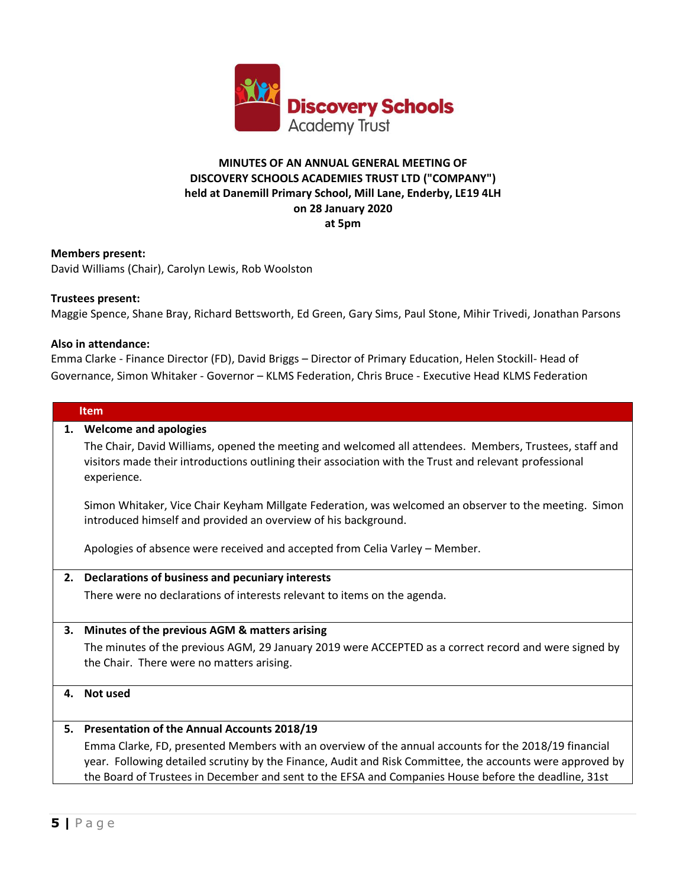

# **MINUTES OF AN ANNUAL GENERAL MEETING OF DISCOVERY SCHOOLS ACADEMIES TRUST LTD ("COMPANY") held at Danemill Primary School, Mill Lane, Enderby, LE19 4LH on 28 January 2020 at 5pm**

#### **Members present:**

David Williams (Chair), Carolyn Lewis, Rob Woolston

#### **Trustees present:**

Maggie Spence, Shane Bray, Richard Bettsworth, Ed Green, Gary Sims, Paul Stone, Mihir Trivedi, Jonathan Parsons

#### **Also in attendance:**

Emma Clarke - Finance Director (FD), David Briggs – Director of Primary Education, Helen Stockill- Head of Governance, Simon Whitaker - Governor – KLMS Federation, Chris Bruce - Executive Head KLMS Federation

#### **Item**

#### **1. Welcome and apologies**

The Chair, David Williams, opened the meeting and welcomed all attendees. Members, Trustees, staff and visitors made their introductions outlining their association with the Trust and relevant professional experience.

Simon Whitaker, Vice Chair Keyham Millgate Federation, was welcomed an observer to the meeting. Simon introduced himself and provided an overview of his background.

Apologies of absence were received and accepted from Celia Varley – Member.

## **2. Declarations of business and pecuniary interests**

There were no declarations of interests relevant to items on the agenda.

## **3. Minutes of the previous AGM & matters arising**

The minutes of the previous AGM, 29 January 2019 were ACCEPTED as a correct record and were signed by the Chair. There were no matters arising.

## **4. Not used**

## **5. Presentation of the Annual Accounts 2018/19**

Emma Clarke, FD, presented Members with an overview of the annual accounts for the 2018/19 financial year. Following detailed scrutiny by the Finance, Audit and Risk Committee, the accounts were approved by the Board of Trustees in December and sent to the EFSA and Companies House before the deadline, 31st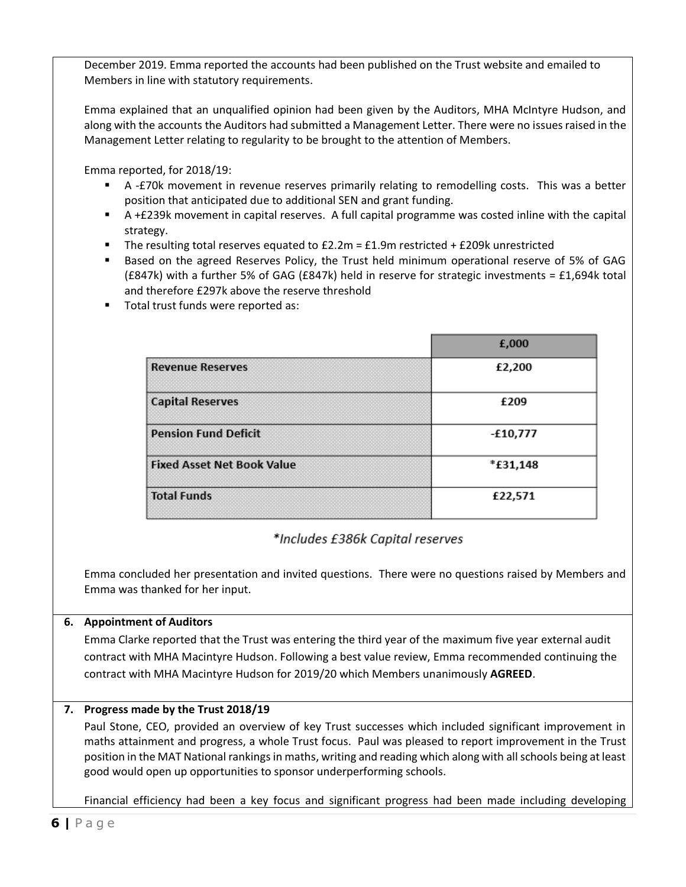December 2019. Emma reported the accounts had been published on the Trust website and emailed to Members in line with statutory requirements.

Emma explained that an unqualified opinion had been given by the Auditors, MHA McIntyre Hudson, and along with the accounts the Auditors had submitted a Management Letter. There were no issues raised in the Management Letter relating to regularity to be brought to the attention of Members.

Emma reported, for 2018/19:

- A -£70k movement in revenue reserves primarily relating to remodelling costs. This was a better position that anticipated due to additional SEN and grant funding.
- A +£239k movement in capital reserves. A full capital programme was costed inline with the capital strategy.
- **•** The resulting total reserves equated to  $£2.2m = £1.9m$  restricted +  $£209k$  unrestricted
- Based on the agreed Reserves Policy, the Trust held minimum operational reserve of 5% of GAG (£847k) with a further 5% of GAG (£847k) held in reserve for strategic investments = £1,694k total and therefore £297k above the reserve threshold

|                                   | £,000    |
|-----------------------------------|----------|
| <b>Revenue Reserves</b>           | £2,200   |
| <b>Capital Reserves</b>           | £209     |
| <b>Pension Fund Deficit</b>       | -£10,777 |
| <b>Fixed Asset Net Book Value</b> | *£31,148 |
| <b>Total Funds</b>                | £22,571  |

■ Total trust funds were reported as:

# \*Includes £386k Capital reserves

Emma concluded her presentation and invited questions. There were no questions raised by Members and Emma was thanked for her input.

# **6. Appointment of Auditors**

Emma Clarke reported that the Trust was entering the third year of the maximum five year external audit contract with MHA Macintyre Hudson. Following a best value review, Emma recommended continuing the contract with MHA Macintyre Hudson for 2019/20 which Members unanimously **AGREED**.

# **7. Progress made by the Trust 2018/19**

Paul Stone, CEO, provided an overview of key Trust successes which included significant improvement in maths attainment and progress, a whole Trust focus. Paul was pleased to report improvement in the Trust position in the MAT National rankings in maths, writing and reading which along with all schools being at least good would open up opportunities to sponsor underperforming schools.

Financial efficiency had been a key focus and significant progress had been made including developing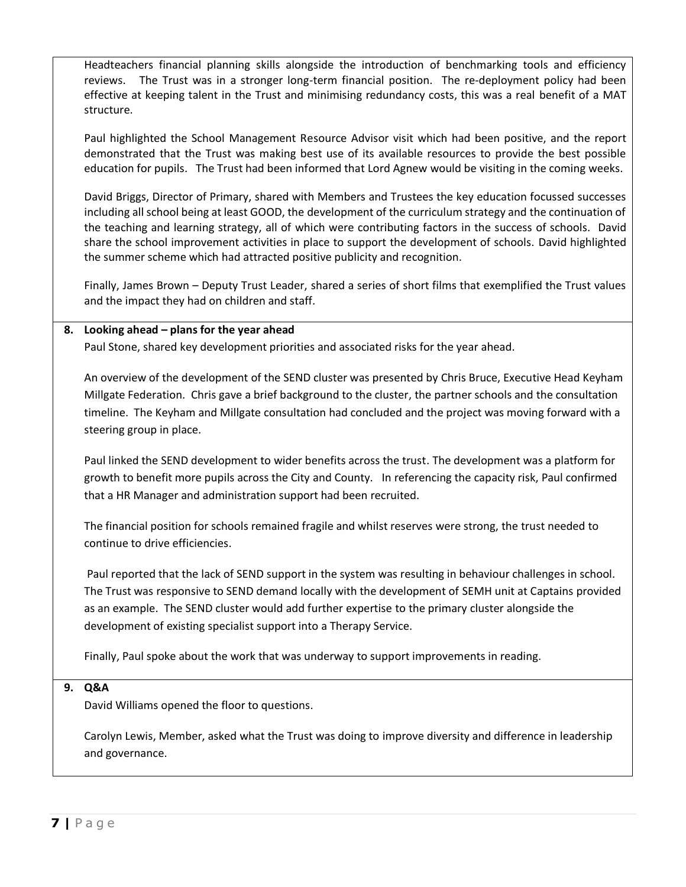Headteachers financial planning skills alongside the introduction of benchmarking tools and efficiency reviews. The Trust was in a stronger long-term financial position. The re-deployment policy had been effective at keeping talent in the Trust and minimising redundancy costs, this was a real benefit of a MAT structure.

Paul highlighted the School Management Resource Advisor visit which had been positive, and the report demonstrated that the Trust was making best use of its available resources to provide the best possible education for pupils. The Trust had been informed that Lord Agnew would be visiting in the coming weeks.

David Briggs, Director of Primary, shared with Members and Trustees the key education focussed successes including all school being at least GOOD, the development of the curriculum strategy and the continuation of the teaching and learning strategy, all of which were contributing factors in the success of schools. David share the school improvement activities in place to support the development of schools. David highlighted the summer scheme which had attracted positive publicity and recognition.

Finally, James Brown – Deputy Trust Leader, shared a series of short films that exemplified the Trust values and the impact they had on children and staff.

# **8. Looking ahead – plans for the year ahead**

Paul Stone, shared key development priorities and associated risks for the year ahead.

An overview of the development of the SEND cluster was presented by Chris Bruce, Executive Head Keyham Millgate Federation. Chris gave a brief background to the cluster, the partner schools and the consultation timeline. The Keyham and Millgate consultation had concluded and the project was moving forward with a steering group in place.

Paul linked the SEND development to wider benefits across the trust. The development was a platform for growth to benefit more pupils across the City and County. In referencing the capacity risk, Paul confirmed that a HR Manager and administration support had been recruited.

The financial position for schools remained fragile and whilst reserves were strong, the trust needed to continue to drive efficiencies.

Paul reported that the lack of SEND support in the system was resulting in behaviour challenges in school. The Trust was responsive to SEND demand locally with the development of SEMH unit at Captains provided as an example. The SEND cluster would add further expertise to the primary cluster alongside the development of existing specialist support into a Therapy Service.

Finally, Paul spoke about the work that was underway to support improvements in reading.

## **9. Q&A**

David Williams opened the floor to questions.

Carolyn Lewis, Member, asked what the Trust was doing to improve diversity and difference in leadership and governance.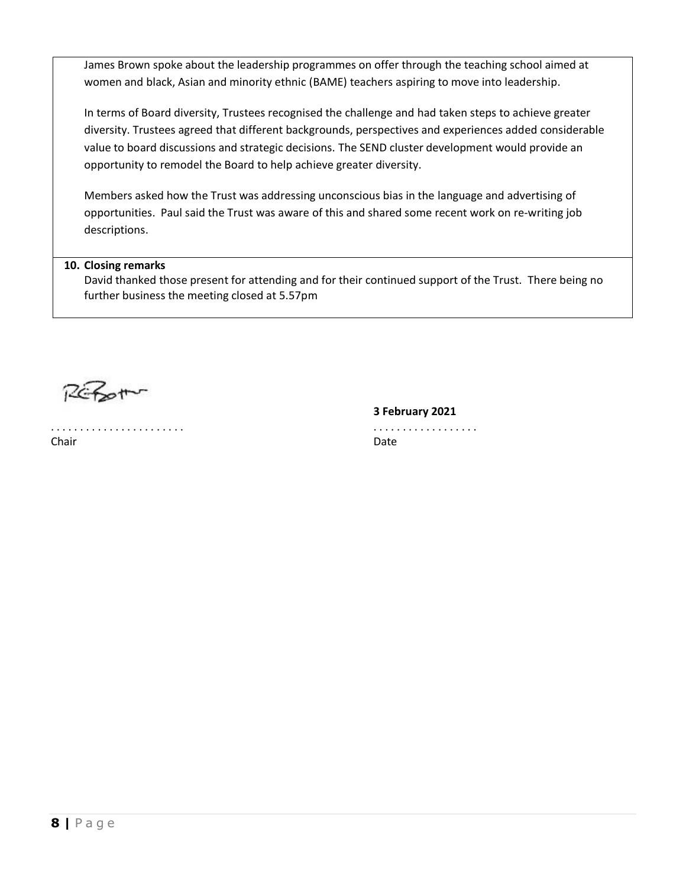James Brown spoke about the leadership programmes on offer through the teaching school aimed at women and black, Asian and minority ethnic (BAME) teachers aspiring to move into leadership.

In terms of Board diversity, Trustees recognised the challenge and had taken steps to achieve greater diversity. Trustees agreed that different backgrounds, perspectives and experiences added considerable value to board discussions and strategic decisions. The SEND cluster development would provide an opportunity to remodel the Board to help achieve greater diversity.

Members asked how the Trust was addressing unconscious bias in the language and advertising of opportunities. Paul said the Trust was aware of this and shared some recent work on re-writing job descriptions.

# **10. Closing remarks**

David thanked those present for attending and for their continued support of the Trust. There being no further business the meeting closed at 5.57pm

 $R$ chot

. . . . . . . . . . . . . . . . . . . . . . . . . . . . . . . . . . . . . . . . . Chair **Date** 

**3 February 2021**